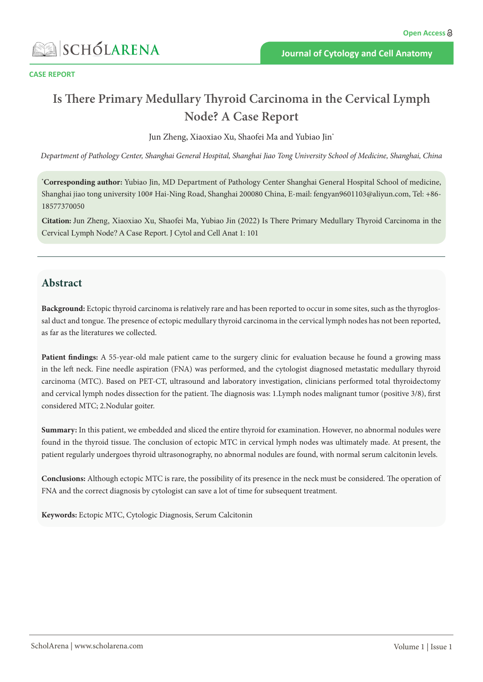

**CASE REPORT**

# **Is There Primary Medullary Thyroid Carcinoma in the Cervical Lymph Node? A Case Report**

Jun Zheng, Xiaoxiao Xu, Shaofei Ma and Yubiao Jin\*

*Department of Pathology Center, Shanghai General Hospital, Shanghai Jiao Tong University School of Medicine, Shanghai, China*

**\* Corresponding author:** Yubiao Jin, MD Department of Pathology Center Shanghai General Hospital School of medicine, Shanghai jiao tong university 100# Hai-Ning Road, Shanghai 200080 China, E-mail: fengyan9601103@aliyun.com, Tel: +86- 18577370050

**Citation:** Jun Zheng, Xiaoxiao Xu, Shaofei Ma, Yubiao Jin (2022) Is There Primary Medullary Thyroid Carcinoma in the Cervical Lymph Node? A Case Report. J Cytol and Cell Anat 1: 101

## **Abstract**

**Background:** Ectopic thyroid carcinoma is relatively rare and has been reported to occur in some sites, such as the thyroglossal duct and tongue. The presence of ectopic medullary thyroid carcinoma in the cervical lymph nodes has not been reported, as far as the literatures we collected.

**Patient findings:** A 55-year-old male patient came to the surgery clinic for evaluation because he found a growing mass in the left neck. Fine needle aspiration (FNA) was performed, and the cytologist diagnosed metastatic medullary thyroid carcinoma (MTC). Based on PET-CT, ultrasound and laboratory investigation, clinicians performed total thyroidectomy and cervical lymph nodes dissection for the patient. The diagnosis was: 1.Lymph nodes malignant tumor (positive 3/8), first considered MTC; 2.Nodular goiter.

**Summary:** In this patient, we embedded and sliced the entire thyroid for examination. However, no abnormal nodules were found in the thyroid tissue. The conclusion of ectopic MTC in cervical lymph nodes was ultimately made. At present, the patient regularly undergoes thyroid ultrasonography, no abnormal nodules are found, with normal serum calcitonin levels.

**Conclusions:** Although ectopic MTC is rare, the possibility of its presence in the neck must be considered. The operation of FNA and the correct diagnosis by cytologist can save a lot of time for subsequent treatment.

**Keywords:** Ectopic MTC, Cytologic Diagnosis, Serum Calcitonin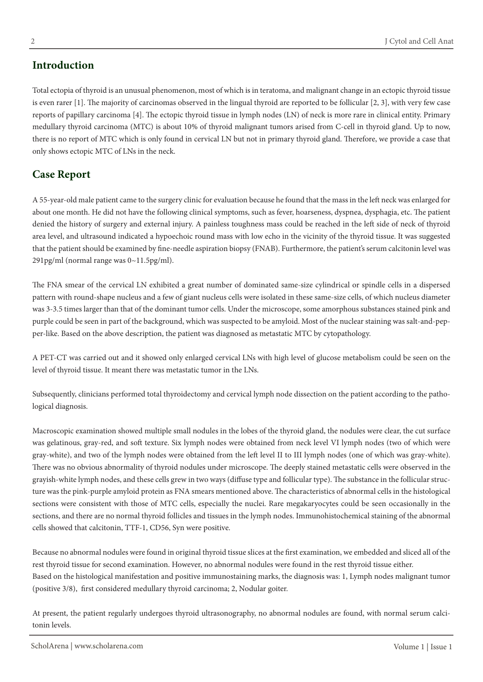# **Introduction**

Total ectopia of thyroid is an unusual phenomenon, most of which is in teratoma, and malignant change in an ectopic thyroid tissue is even rarer [1]. The majority of carcinomas observed in the lingual thyroid are reported to be follicular [2, 3], with very few case reports of papillary carcinoma [4]. The ectopic thyroid tissue in lymph nodes (LN) of neck is more rare in clinical entity. Primary

medullary thyroid carcinoma (MTC) is about 10% of thyroid malignant tumors arised from C-cell in thyroid gland. Up to now, there is no report of MTC which is only found in cervical LN but not in primary thyroid gland. Therefore, we provide a case that only shows ectopic MTC of LNs in the neck.

# **Case Report**

A 55-year-old male patient came to the surgery clinic for evaluation because he found that the mass in the left neck was enlarged for about one month. He did not have the following clinical symptoms, such as fever, hoarseness, dyspnea, dysphagia, etc. The patient denied the history of surgery and external injury. A painless toughness mass could be reached in the left side of neck of thyroid area level, and ultrasound indicated a hypoechoic round mass with low echo in the vicinity of the thyroid tissue. It was suggested that the patient should be examined by fine-needle aspiration biopsy (FNAB). Furthermore, the patient's serum calcitonin level was 291pg/ml (normal range was 0~11.5pg/ml).

The FNA smear of the cervical LN exhibited a great number of dominated same-size cylindrical or spindle cells in a dispersed pattern with round-shape nucleus and a few of giant nucleus cells were isolated in these same-size cells, of which nucleus diameter was 3-3.5 times larger than that of the dominant tumor cells. Under the microscope, some amorphous substances stained pink and purple could be seen in part of the background, which was suspected to be amyloid. Most of the nuclear staining was salt-and-pepper-like. Based on the above description, the patient was diagnosed as metastatic MTC by cytopathology.

A PET-CT was carried out and it showed only enlarged cervical LNs with high level of glucose metabolism could be seen on the level of thyroid tissue. It meant there was metastatic tumor in the LNs.

Subsequently, clinicians performed total thyroidectomy and cervical lymph node dissection on the patient according to the pathological diagnosis.

Macroscopic examination showed multiple small nodules in the lobes of the thyroid gland, the nodules were clear, the cut surface was gelatinous, gray-red, and soft texture. Six lymph nodes were obtained from neck level VI lymph nodes (two of which were gray-white), and two of the lymph nodes were obtained from the left level II to III lymph nodes (one of which was gray-white). There was no obvious abnormality of thyroid nodules under microscope. The deeply stained metastatic cells were observed in the grayish-white lymph nodes, and these cells grew in two ways (diffuse type and follicular type). The substance in the follicular structure was the pink-purple amyloid protein as FNA smears mentioned above. The characteristics of abnormal cells in the histological sections were consistent with those of MTC cells, especially the nuclei. Rare megakaryocytes could be seen occasionally in the sections, and there are no normal thyroid follicles and tissues in the lymph nodes. Immunohistochemical staining of the abnormal cells showed that calcitonin, TTF-1, CD56, Syn were positive.

Because no abnormal nodules were found in original thyroid tissue slices at the first examination, we embedded and sliced all of the rest thyroid tissue for second examination. However, no abnormal nodules were found in the rest thyroid tissue either. Based on the histological manifestation and positive immunostaining marks, the diagnosis was: 1, Lymph nodes malignant tumor (positive 3/8), first considered medullary thyroid carcinoma; 2, Nodular goiter.

At present, the patient regularly undergoes thyroid ultrasonography, no abnormal nodules are found, with normal serum calcitonin levels.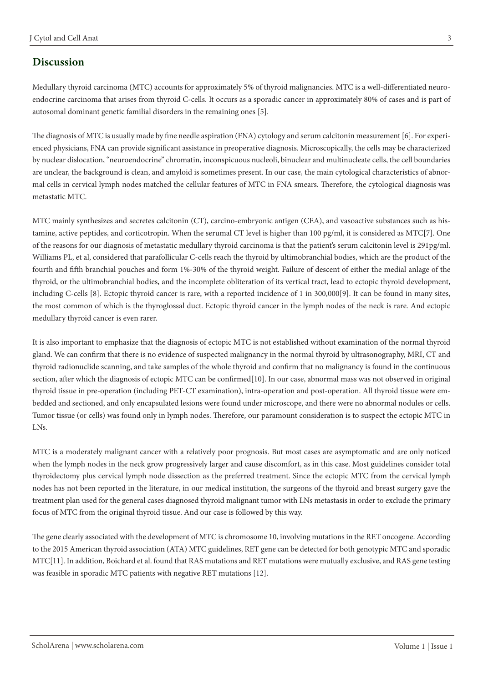#### **Discussion**

Medullary thyroid carcinoma (MTC) accounts for approximately 5% of thyroid malignancies. MTC is a well-differentiated neuroendocrine carcinoma that arises from thyroid C-cells. It occurs as a sporadic cancer in approximately 80% of cases and is part of autosomal dominant genetic familial disorders in the remaining ones [5].

The diagnosis of MTC is usually made by fine needle aspiration (FNA) cytology and serum calcitonin measurement [6]. For experienced physicians, FNA can provide significant assistance in preoperative diagnosis. Microscopically, the cells may be characterized by nuclear dislocation, "neuroendocrine" chromatin, inconspicuous nucleoli, binuclear and multinucleate cells, the cell boundaries are unclear, the background is clean, and amyloid is sometimes present. In our case, the main cytological characteristics of abnormal cells in cervical lymph nodes matched the cellular features of MTC in FNA smears. Therefore, the cytological diagnosis was metastatic MTC.

MTC mainly synthesizes and secretes calcitonin (CT), carcino-embryonic antigen (CEA), and vasoactive substances such as histamine, active peptides, and corticotropin. When the serumal CT level is higher than 100 pg/ml, it is considered as MTC[7]. One of the reasons for our diagnosis of metastatic medullary thyroid carcinoma is that the patient's serum calcitonin level is 291pg/ml. Williams PL, et al, considered that parafollicular C-cells reach the thyroid by ultimobranchial bodies, which are the product of the fourth and fifth branchial pouches and form 1%-30% of the thyroid weight. Failure of descent of either the medial anlage of the thyroid, or the ultimobranchial bodies, and the incomplete obliteration of its vertical tract, lead to ectopic thyroid development, including C-cells [8]. Ectopic thyroid cancer is rare, with a reported incidence of 1 in 300,000[9]. It can be found in many sites, the most common of which is the thyroglossal duct. Ectopic thyroid cancer in the lymph nodes of the neck is rare. And ectopic medullary thyroid cancer is even rarer.

It is also important to emphasize that the diagnosis of ectopic MTC is not established without examination of the normal thyroid gland. We can confirm that there is no evidence of suspected malignancy in the normal thyroid by ultrasonography, MRI, CT and thyroid radionuclide scanning, and take samples of the whole thyroid and confirm that no malignancy is found in the continuous section, after which the diagnosis of ectopic MTC can be confirmed[10]. In our case, abnormal mass was not observed in original thyroid tissue in pre-operation (including PET-CT examination), intra-operation and post-operation. All thyroid tissue were embedded and sectioned, and only encapsulated lesions were found under microscope, and there were no abnormal nodules or cells. Tumor tissue (or cells) was found only in lymph nodes. Therefore, our paramount consideration is to suspect the ectopic MTC in LNs.

MTC is a moderately malignant cancer with a relatively poor prognosis. But most cases are asymptomatic and are only noticed when the lymph nodes in the neck grow progressively larger and cause discomfort, as in this case. Most guidelines consider total thyroidectomy plus cervical lymph node dissection as the preferred treatment. Since the ectopic MTC from the cervical lymph nodes has not been reported in the literature, in our medical institution, the surgeons of the thyroid and breast surgery gave the treatment plan used for the general cases diagnosed thyroid malignant tumor with LNs metastasis in order to exclude the primary focus of MTC from the original thyroid tissue. And our case is followed by this way.

The gene clearly associated with the development of MTC is chromosome 10, involving mutations in the RET oncogene. According to the 2015 American thyroid association (ATA) MTC guidelines, RET gene can be detected for both genotypic MTC and sporadic MTC[11]. In addition, Boichard et al. found that RAS mutations and RET mutations were mutually exclusive, and RAS gene testing was feasible in sporadic MTC patients with negative RET mutations [12].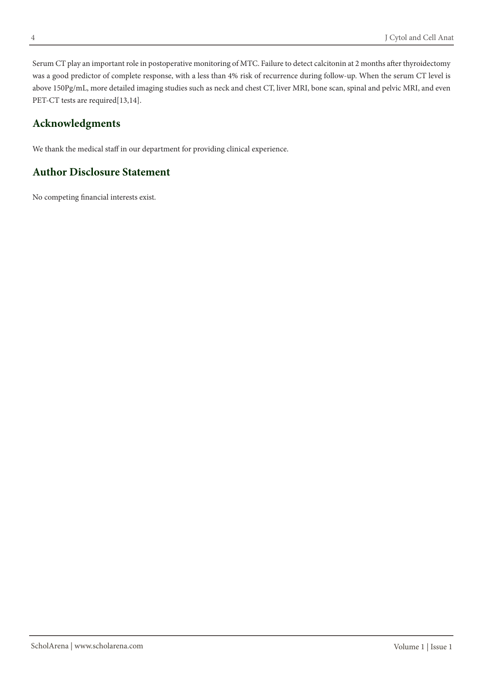Serum CT play an important role in postoperative monitoring of MTC. Failure to detect calcitonin at 2 months after thyroidectomy was a good predictor of complete response, with a less than 4% risk of recurrence during follow-up. When the serum CT level is above 150Pg/mL, more detailed imaging studies such as neck and chest CT, liver MRI, bone scan, spinal and pelvic MRI, and even PET-CT tests are required[13,14].

# **Acknowledgments**

We thank the medical staff in our department for providing clinical experience.

## **Author Disclosure Statement**

No competing financial interests exist.